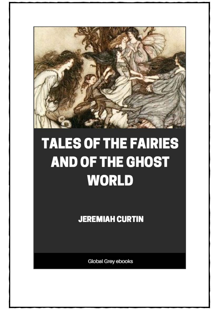

## **TALES OF THE FAIRIES** AND OF THE GHOST **WORLD**

**JEREMIAH CURTIN** 

Global Grey ebooks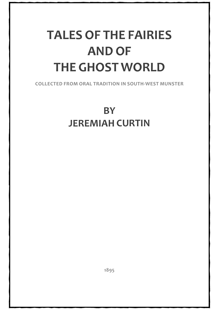## **TALES OF THE FAIRIES AND OF THE GHOST WORLD**

**COLLECTED FROM ORAL TRADITION IN SOUTH-WEST MUNSTER**

## **BY JEREMIAH CURTIN**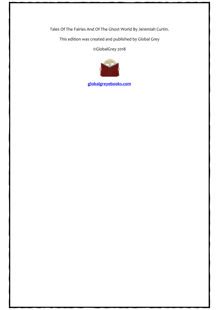Tales Of The Fairies And Of The Ghost World By Jeremiah Curtin.

This edition was created and published by Global Grey

©GlobalGrey 2018



**[globalgreyebooks.com](https://www.globalgreyebooks.com/)**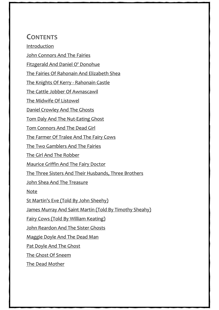## **CONTENTS**

[Introduction](#page-5-0)

[John Connors And The Fairies](#page-9-0)

[Fitzgerald And Daniel O' Donohue](#page-17-0)

[The Fairies Of Rahonain And Elizabeth Shea](#page-21-0)

[The Knights Of Kerry -](#page-25-0) Rahonain Castle

[The Cattle Jobber Of Awnascawil](#page-30-0)

[The Midwife Of Listowel](#page-35-0)

[Daniel Crowley And The Ghosts](#page-38-0)

[Tom Daly And The Nut-Eating Ghost](#page-44-0)

[Tom Connors And The Dead Girl](#page-47-0)

[The Farmer Of Tralee And The Fairy Cows](#page-49-0)

[The Two Gamblers And The Fairies](#page-53-0)

[The Girl And The Robber](#page-58-0)

[Maurice Griffin And The Fairy Doctor](#page-64-0)

[The Three Sisters And Their Husbands, Three Brothers](#page-70-0)

[John Shea And The Treasure](#page-79-0)

[Note](#page-83-0)

[St Martin's Eve \(Told By John Sheehy\)](#page-86-0)

[James Murray And Saint Martin \(Told By Timothy Sheahy\)](#page-91-0)

[Fairy Cows \(Told By William Keating\)](#page-94-0)

[John Reardon And The Sister Ghosts](#page-98-0)

[Maggie Doyle And The Dead Man](#page-102-0)

[Pat Doyle And The Ghost](#page-105-0)

[The Ghost Of Sneem](#page-108-0)

[The Dead Mother](#page-111-0)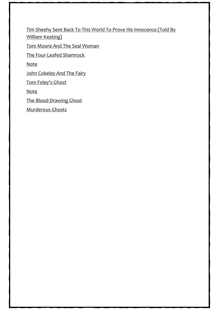[Tim Sheehy Sent Back To This World To Prove His Innocence \(Told By](#page-114-0)  [William Keating\)](#page-114-0)

[Tom Moore And The Seal Woman](#page-116-0)

[The Four-Leafed Shamrock](#page-119-0)

[Note](#page-121-0)

[John Cokeley And The Fairy](#page-123-0)

[Tom Foley's Ghost](#page-128-0)

[Note](#page-137-0)

[The Blood-Drawing Ghost](#page-139-0)

[Murderous Ghosts](#page-148-0)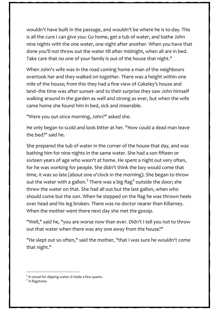wouldn't have built in the passage, and wouldn't be where he is to-day. This is all the cure I can give you: Go home, get a tub of water, and bathe John nine nights with the one water, one night after another. When you have that done you'll not throw out the water till after midnight, when all are in bed. Take care that no one of your family is out of the house that night."

When John's wife was in the road coming home a man of the neighbours overtook her and they walked on together. There was a height within one mile of the house; from this they had a fine view of Cokeley's house and land--the time was after sunset--and to their surprise they saw John himself walking around in the garden as well and strong as ever, but when the wife came home she found him in bed, sick and miserable.

"Were you out since morning, John?" asked she.

He only began to scold and look bitter at her. "How could a dead man leave the bed?" said he.

She prepared the tub of water in the corner of the house that day, and was bathing him for nine nights in the same water. She had a son fifteen or sixteen years of age who wasn't at home. He spent a night out very often, for he was working for people. She didn't think the boy would come that time, it was so late (about one o'clock in the morning). She began to throw out the water with a gallon.<sup>[5](#page-125-0)</sup> There was a big flag<sup>[6](#page-125-1)</sup> outside the door; she threw the water on that. She had all out but the last gallon, when who should come but the son. When he stepped on the flag he was thrown heels over head and his leg broken. There was no doctor nearer than Killarney. When the mother went there next day she met the gossip.

"Well," said he, "you are worse now than ever. Didn't I tell you not to throw out that water when there was any one away from the house?"

"He slept out so often," said the mother, "that I was sure he wouldn't come that night."

<span id="page-125-1"></span><span id="page-125-0"></span><sup>&</sup>lt;sup>5</sup> A vessel for dipping water; it holds a few quarts. <sup>6</sup> A flagstone.